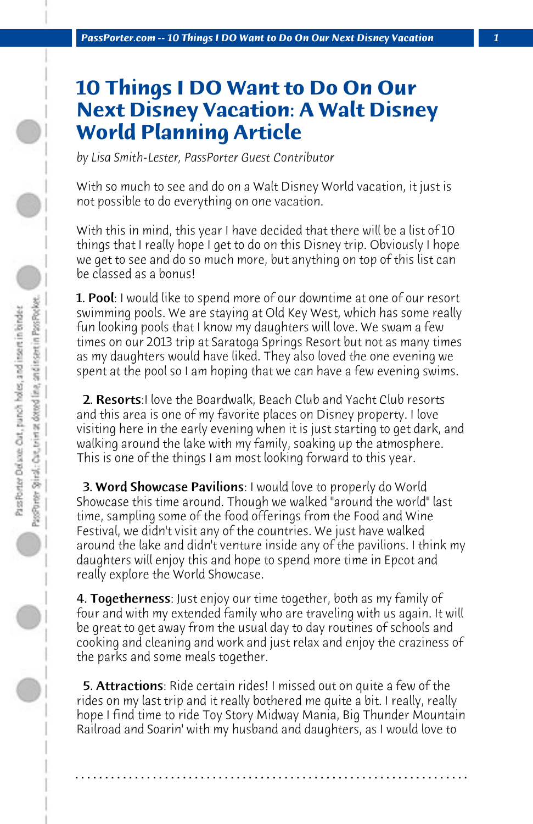## **10 Things I DO Want to Do On Our Next Disney Vacation: A Walt Disney World Planning Article**

*by Lisa Smith-Lester, PassPorter Guest Contributor*

With so much to see and do on a Walt Disney World vacation, it just is not possible to do everything on one vacation.

With this in mind, this year I have decided that there will be a list of 10 things that I really hope I get to do on this Disney trip. Obviously I hope we get to see and do so much more, but anything on top of this list can be classed as a bonus!

**1. Pool**: I would like to spend more of our downtime at one of our resort swimming pools. We are staying at Old Key West, which has some really fun looking pools that I know my daughters will love. We swam a few times on our 2013 trip at Saratoga Springs Resort but not as many times as my daughters would have liked. They also loved the one evening we spent at the pool so I am hoping that we can have a few evening swims.

2. Resorts: I love the Boardwalk, Beach Club and Yacht Club resorts and this area is one of my favorite places on Disney property. I love visiting here in the early evening when it is just starting to get dark, and walking around the lake with my family, soaking up the atmosphere. This is one of the things I am most looking forward to this year.

 3. Word Showcase Pavilions: I would love to properly do World Showcase this time around. Though we walked "around the world" last time, sampling some of the food offerings from the Food and Wine Festival, we didn't visit any of the countries. We just have walked around the lake and didn't venture inside any of the pavilions. I think my daughters will enjoy this and hope to spend more time in Epcot and really explore the World Showcase.

**4. Togetherness**: Just enjoy our time together, both as my family of four and with my extended family who are traveling with us again. It will be great to get away from the usual day to day routines of schools and cooking and cleaning and work and just relax and enjoy the craziness of the parks and some meals together.

 5. Attractions: Ride certain rides! I missed out on quite a few of the rides on my last trip and it really bothered me quite a bit. I really, really hope I find time to ride Toy Story Midway Mania, Big Thunder Mountain Railroad and Soarin' with my husband and daughters, as I would love to

**. . . . . . . . . . . . . . . . . . . . . . . . . . . . . . . . . . . . . . . . . . . . . . . . . . . . . . . . . . . . . . . . . .**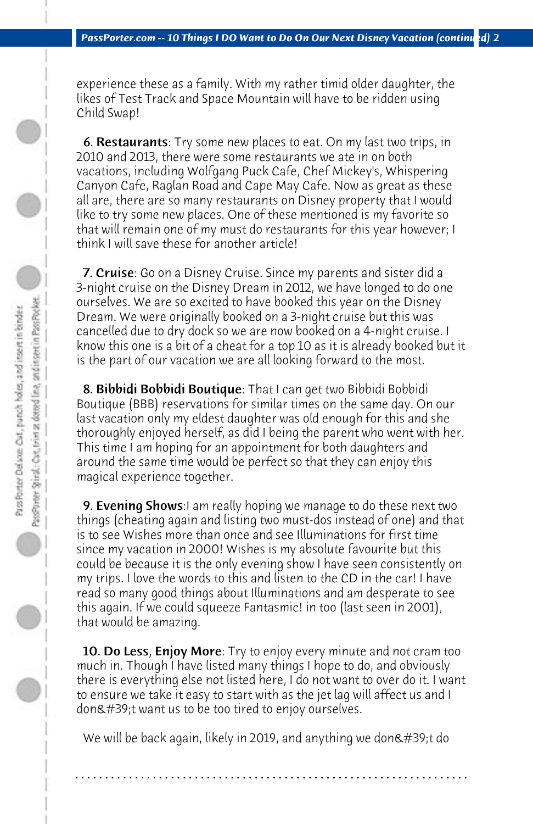experience these as a family. With my rather timid older daughter, the likes of Test Track and Space Mountain will have to be ridden using Child Swap!

 6. Restaurants: Try some new places to eat. On my last two trips, in 2010 and 2013, there were some restaurants we ate in on both vacations, including Wolfgang Puck Cafe, Chef Mickey's, Whispering Canyon Cafe, Raglan Road and Cape May Cafe. Now as great as these all are, there are so many restaurants on Disney property that I would like to try some new places. One of these mentioned is my favorite so that will remain one of my must do restaurants for this year however; I think I will save these for another article!

 7. Cruise: Go on a Disney Cruise. Since my parents and sister did a 3-night cruise on the Disney Dream in 2012, we have longed to do one ourselves. We are so excited to have booked this year on the Disney Dream. We were originally booked on a 3-night cruise but this was cancelled due to dry dock so we are now booked on a 4-night cruise. I know this one is a bit of a cheat for a top 10 as it is already booked but it is the part of our vacation we are all looking forward to the most.

 8. Bibbidi Bobbidi Boutique: That I can get two Bibbidi Bobbidi Boutique (BBB) reservations for similar times on the same day. On our last vacation only my eldest daughter was old enough for this and she thoroughly enjoyed herself, as did I being the parent who went with her. This time I am hoping for an appointment for both daughters and around the same time would be perfect so that they can enjoy this magical experience together.

**9. Evening Shows:**I am really hoping we manage to do these next two things (cheating again and listing two must-dos instead of one) and that is to see Wishes more than once and see Illuminations for first time since my vacation in 2000! Wishes is my absolute favourite but this could be because it is the only evening show I have seen consistently on my trips. I love the words to this and listen to the CD in the car! I have read so many good things about Illuminations and am desperate to see this again. If we could squeeze Fantasmic! in too (last seen in 2001), that would be amazing.

**10. Do Less, Enjoy More**: Try to enjoy every minute and not cram too much in. Though I have listed many things I hope to do, and obviously there is everything else not listed here, I do not want to over do it. I want to ensure we take it easy to start with as the jet lag will affect us and I don't want us to be too tired to enjoy ourselves.

We will be back again, likely in 2019, and anything we don $\&$ #39;t do

**. . . . . . . . . . . . . . . . . . . . . . . . . . . . . . . . . . . . . . . . . . . . . . . . . . . . . . . . . . . . . . . . . .**